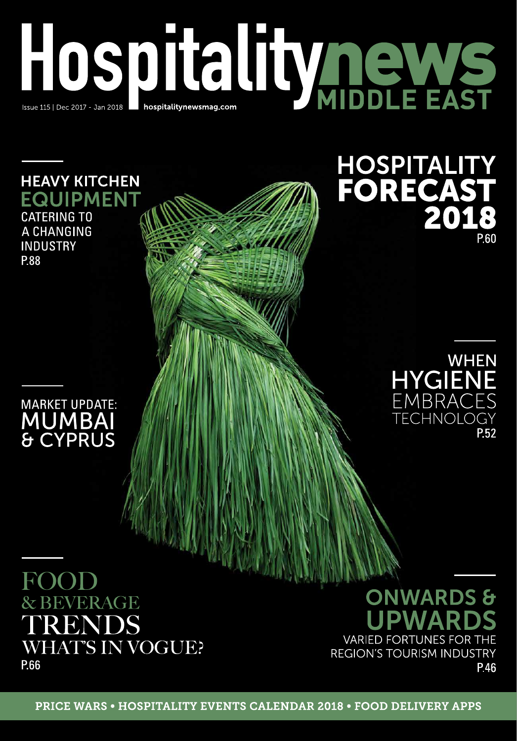# HOSPITALITY REWS

### **HEAVY KITCHEN EQUIPMENT CATERING TO**

A CHANGING **INDUSTRY** P.88

## **MARKET UPDATE: MUMBAI & CYPRUS**



P 60

HOSPITALITY<br>FORECAST<br>2018

# ROOD & BEVERAGE **RENDS WHAT'S IN VOGUE?** P.66

**ONWARDS &** PWAR **VARIED FORTUNES FOR THE REGION'S TOURISM INDUSTRY** P.46

**PRICE WARS • HOSPITALITY EVENTS CALENDAR 2018 • FOOD DELIVERY APPS**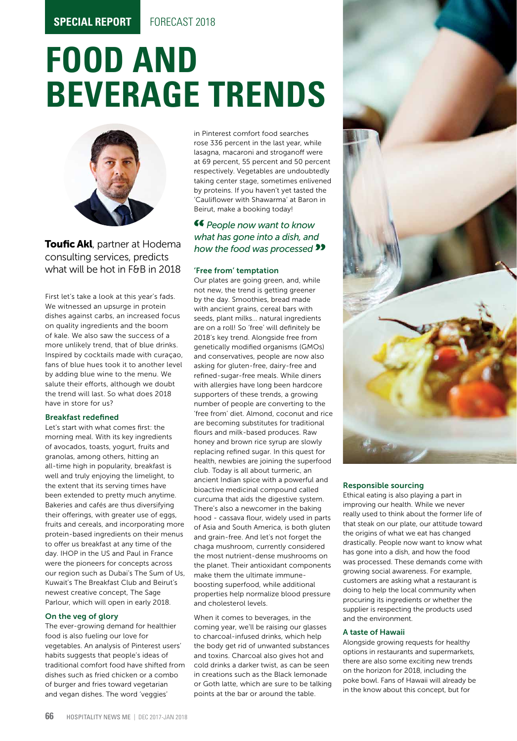# **FOOD AND BEVERAGE TRENDS**



Toufic Akl, partner at Hodema consulting services, predicts what will be hot in F&B in 2018

First let's take a look at this year's fads. We witnessed an upsurge in protein dishes against carbs, an increased focus on quality ingredients and the boom of kale. We also saw the success of a more unlikely trend, that of blue drinks. Inspired by cocktails made with curaçao, fans of blue hues took it to another level by adding blue wine to the menu. We salute their efforts, although we doubt the trend will last. So what does 2018 have in store for us?

#### Breakfast redefined

Let's start with what comes first: the morning meal. With its key ingredients of avocados, toasts, yogurt, fruits and granolas, among others, hitting an all-time high in popularity, breakfast is well and truly enjoying the limelight, to the extent that its serving times have been extended to pretty much anytime. Bakeries and cafés are thus diversifying their offerings, with greater use of eggs, fruits and cereals, and incorporating more protein-based ingredients on their menus to offer us breakfast at any time of the day. IHOP in the US and Paul in France were the pioneers for concepts across our region such as Dubai's The Sum of Us, Kuwait's The Breakfast Club and Beirut's newest creative concept, The Sage Parlour, which will open in early 2018.

#### On the veg of glory

The ever-growing demand for healthier food is also fueling our love for vegetables. An analysis of Pinterest users' habits suggests that people's ideas of traditional comfort food have shifted from dishes such as fried chicken or a combo of burger and fries toward vegetarian and vegan dishes. The word 'veggies'

in Pinterest comfort food searches rose 336 percent in the last year, while lasagna, macaroni and stroganoff were at 69 percent, 55 percent and 50 percent respectively. Vegetables are undoubtedly taking center stage, sometimes enlivened by proteins. If you haven't yet tasted the 'Cauliflower with Shawarma' at Baron in Beirut, make a booking today!

#### *People now want to know what has gone into a dish, and how the food was processed*

#### 'Free from' temptation

Our plates are going green, and, while not new, the trend is getting greener by the day. Smoothies, bread made with ancient grains, cereal bars with seeds, plant milks… natural ingredients are on a roll! So 'free' will definitely be 2018's key trend. Alongside free from genetically modified organisms (GMOs) and conservatives, people are now also asking for gluten-free, dairy-free and refined-sugar-free meals. While diners with allergies have long been hardcore supporters of these trends, a growing number of people are converting to the 'free from' diet. Almond, coconut and rice are becoming substitutes for traditional flours and milk-based produces. Raw honey and brown rice syrup are slowly replacing refined sugar. In this quest for health, newbies are joining the superfood club. Today is all about turmeric, an ancient Indian spice with a powerful and bioactive medicinal compound called curcuma that aids the digestive system. There's also a newcomer in the baking hood - cassava flour, widely used in parts of Asia and South America, is both gluten and grain-free. And let's not forget the chaga mushroom, currently considered the most nutrient-dense mushrooms on the planet. Their antioxidant components make them the ultimate immuneboosting superfood, while additional properties help normalize blood pressure and cholesterol levels.

When it comes to beverages, in the coming year, we'll be raising our glasses to charcoal-infused drinks, which help the body get rid of unwanted substances and toxins. Charcoal also gives hot and cold drinks a darker twist, as can be seen in creations such as the Black lemonade or Goth latte, which are sure to be talking points at the bar or around the table.



#### Responsible sourcing

Ethical eating is also playing a part in improving our health. While we never really used to think about the former life of that steak on our plate, our attitude toward the origins of what we eat has changed drastically. People now want to know what has gone into a dish, and how the food was processed. These demands come with growing social awareness. For example, customers are asking what a restaurant is doing to help the local community when procuring its ingredients or whether the supplier is respecting the products used and the environment.

#### A taste of Hawaii

Alongside growing requests for healthy options in restaurants and supermarkets, there are also some exciting new trends on the horizon for 2018, including the poke bowl. Fans of Hawaii will already be in the know about this concept, but for